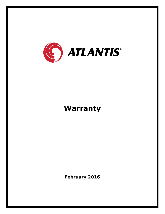

## **Warranty**

**February 2016**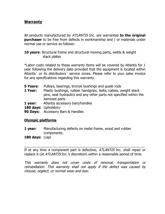## **Warranty**

All products manufactured by ATLANTIS Inc. are warranted **to the original purchaser** to be free from defects in workmanship and / or materials under normal use or service as follows:

**10 years:** Structural frame and structural moving parts, welds & weight stack plates

\*Labor costs related to these warranty items will be covered by Atlantis for 1 year following the delivery date provided that the equipment is located within Atlantis` or its distributors` service zones. Please refer to your sales invoice for any specifications regarding this warranty.

- **5 Years:** Pulleys, bearings, bronze bushings and quide rods
- **1 Year:** Plastic bushings, rubber handgrips, belts, cables, weight stack pins, seat hydraulics and any other parts not specified within the itemized parts
- **1 year:** Atlantis accessory bars/handles
- **180 days:** Upholstery
- **90 Days:** Accessory Bars & Handles

## **Olympic platforms**

- **1 year:** Manufacturing defects on metal frame, wood and rubber components.
- **180 days:** Logo

If at any time a component part is defective, *ATLANTIS* Inc. shall repair or replace it (at *ATLANTIS* Inc.'s discretion) within a reasonable period of time.

\_\_\_\_\_\_\_\_\_\_\_\_\_\_\_\_\_\_\_\_\_\_\_\_\_\_\_\_\_\_\_\_\_\_\_\_\_\_\_\_\_\_\_\_\_\_\_\_\_\_\_\_\_\_\_\_\_\_\_\_\_\_\_

This warranty does not cover costs of removal, transportation or reinstallation. This warranty shall not apply if the defect was caused by misuse, neglect, or normal wear and tear.